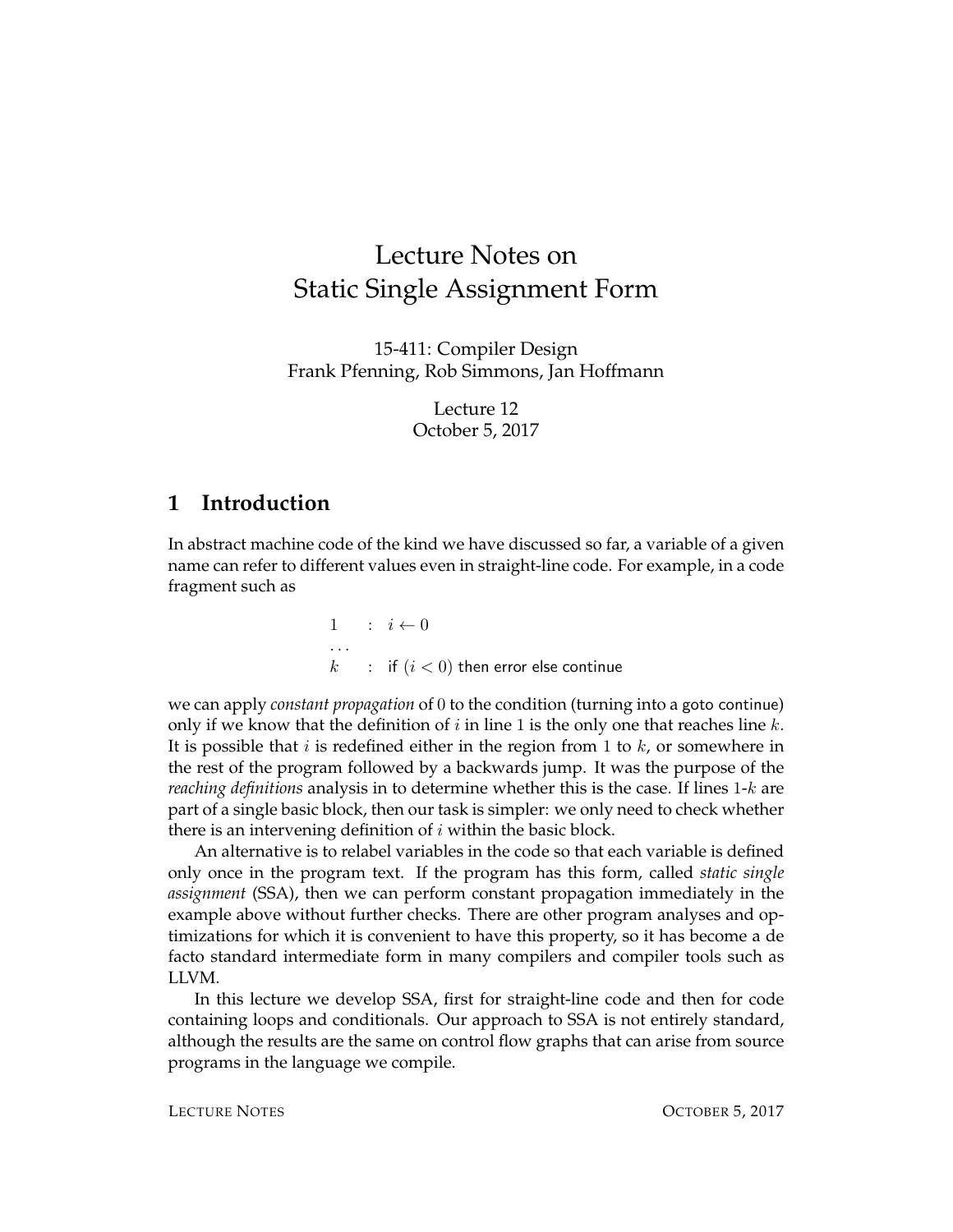# Lecture Notes on Static Single Assignment Form

15-411: Compiler Design Frank Pfenning, Rob Simmons, Jan Hoffmann

> Lecture 12 October 5, 2017

#### **1 Introduction**

In abstract machine code of the kind we have discussed so far, a variable of a given name can refer to different values even in straight-line code. For example, in a code fragment such as

> $1 : i \leftarrow 0$ . . .  $k$  : if  $(i < 0)$  then error else continue

we can apply *constant propagation* of 0 to the condition (turning into a goto continue) only if we know that the definition of  $i$  in line 1 is the only one that reaches line  $k$ . It is possible that  $i$  is redefined either in the region from 1 to  $k$ , or somewhere in the rest of the program followed by a backwards jump. It was the purpose of the *reaching definitions* analysis in to determine whether this is the case. If lines 1-k are part of a single basic block, then our task is simpler: we only need to check whether there is an intervening definition of  $i$  within the basic block.

An alternative is to relabel variables in the code so that each variable is defined only once in the program text. If the program has this form, called *static single assignment* (SSA), then we can perform constant propagation immediately in the example above without further checks. There are other program analyses and optimizations for which it is convenient to have this property, so it has become a de facto standard intermediate form in many compilers and compiler tools such as LLVM.

In this lecture we develop SSA, first for straight-line code and then for code containing loops and conditionals. Our approach to SSA is not entirely standard, although the results are the same on control flow graphs that can arise from source programs in the language we compile.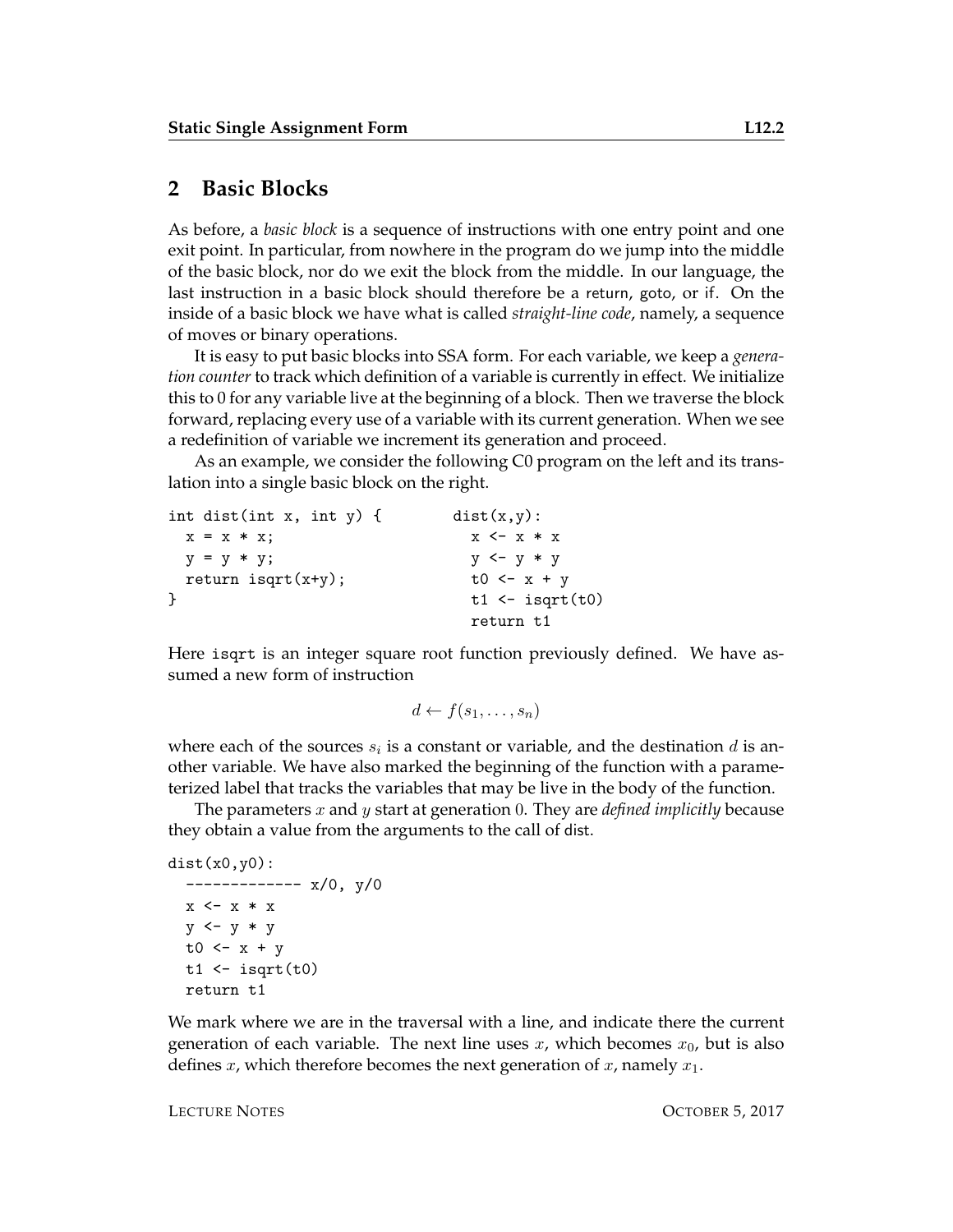#### **2 Basic Blocks**

As before, a *basic block* is a sequence of instructions with one entry point and one exit point. In particular, from nowhere in the program do we jump into the middle of the basic block, nor do we exit the block from the middle. In our language, the last instruction in a basic block should therefore be a return, goto, or if. On the inside of a basic block we have what is called *straight-line code*, namely, a sequence of moves or binary operations.

It is easy to put basic blocks into SSA form. For each variable, we keep a *generation counter* to track which definition of a variable is currently in effect. We initialize this to 0 for any variable live at the beginning of a block. Then we traverse the block forward, replacing every use of a variable with its current generation. When we see a redefinition of variable we increment its generation and proceed.

As an example, we consider the following C0 program on the left and its translation into a single basic block on the right.

```
int dist(int x, int y) { dist(x,y):
 x = x * x; x < -x * xy = y * y; y < -y * yreturn isqrt(x+y); t0 <- x + y
\downarrow t1 <- isqrt(t0)
                     return t1
```
Here isqrt is an integer square root function previously defined. We have assumed a new form of instruction

```
d \leftarrow f(s_1, \ldots, s_n)
```
where each of the sources  $s_i$  is a constant or variable, and the destination  $d$  is another variable. We have also marked the beginning of the function with a parameterized label that tracks the variables that may be live in the body of the function.

The parameters x and y start at generation 0. They are *defined implicitly* because they obtain a value from the arguments to the call of dist.

```
dist(x0,y0):
```

```
------------- x/0, y/0
x \leftarrow x * xy \leftarrow y * yt0 <-x + yt1 <- isqrt(t0)return t1
```
We mark where we are in the traversal with a line, and indicate there the current generation of each variable. The next line uses  $x$ , which becomes  $x_0$ , but is also defines x, which therefore becomes the next generation of x, namely  $x_1$ .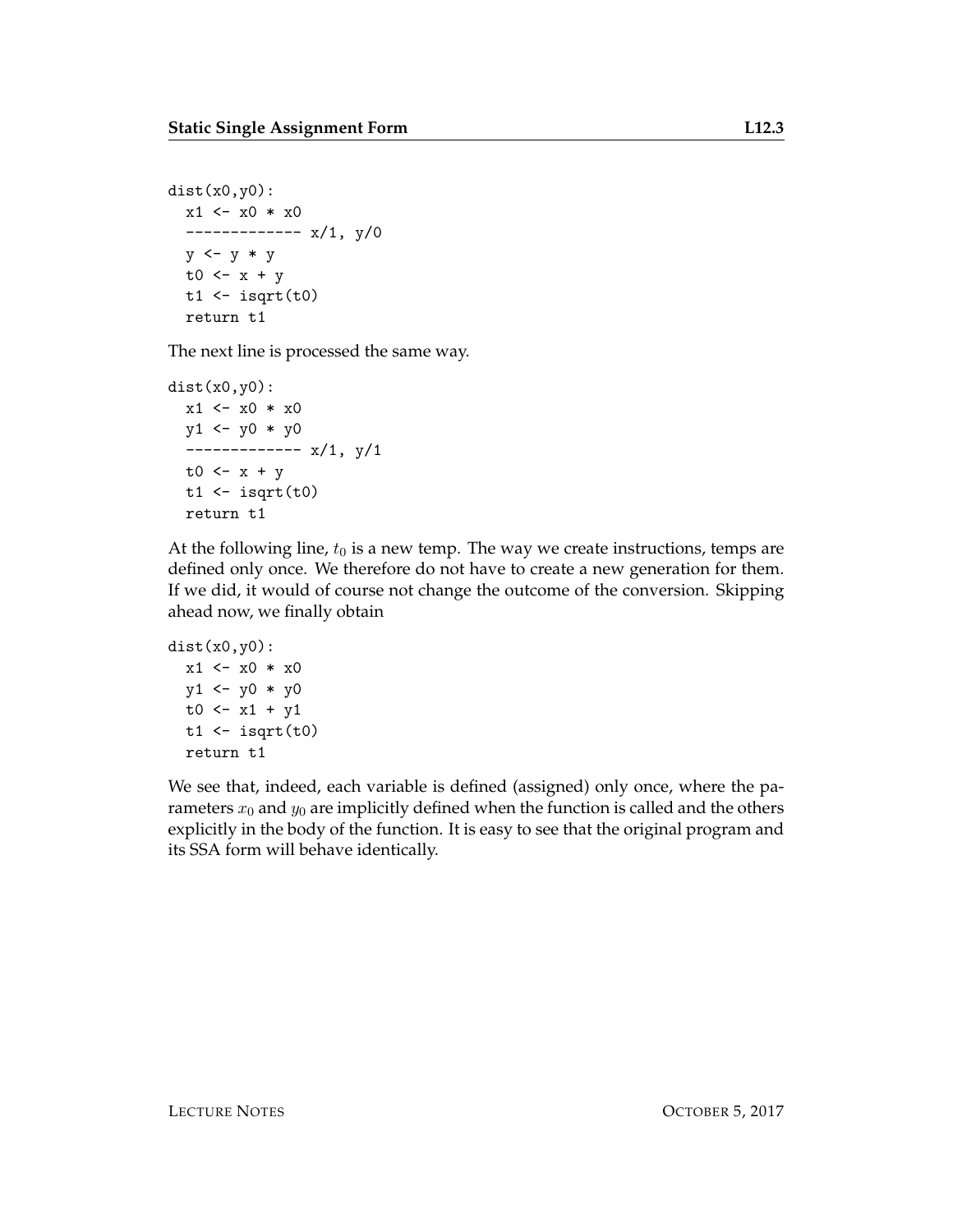```
dist(x0,y0):
  x1 \leftarrow x0 * x0------------- x/1, y/0
  y \leftarrow y * yt0 \leftarrow x + yt1 <- isqrt(t0)return t1
```
The next line is processed the same way.

```
dist(x0,y0):
  x1 \leftarrow x0 * x0y1 \leftarrow y0 * y0------------- x/1, y/1
  t0 \leftarrow x + y
  t1 <- isqrt(t0)return t1
```
At the following line,  $t_0$  is a new temp. The way we create instructions, temps are defined only once. We therefore do not have to create a new generation for them. If we did, it would of course not change the outcome of the conversion. Skipping ahead now, we finally obtain

```
dist(x0,y0):
  x1 \leftarrow x0 * x0y1 \leftarrow y0 * y0t0 \leq x1 + y1t1 <- isqrt(t0)return t1
```
We see that, indeed, each variable is defined (assigned) only once, where the parameters  $x_0$  and  $y_0$  are implicitly defined when the function is called and the others explicitly in the body of the function. It is easy to see that the original program and its SSA form will behave identically.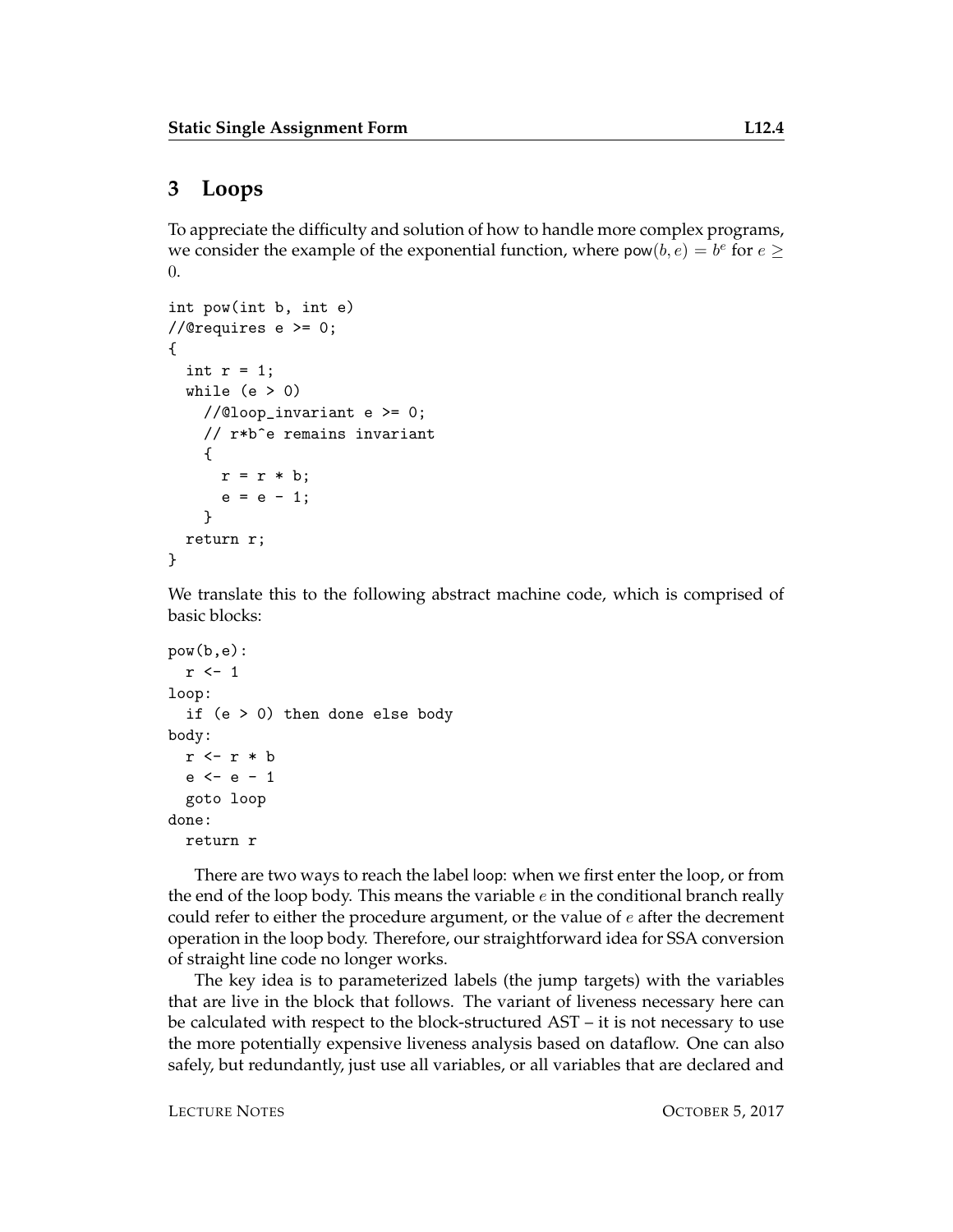## **3 Loops**

To appreciate the difficulty and solution of how to handle more complex programs, we consider the example of the exponential function, where  $pow(b, e) = b^e$  for  $e \ge$ 0.

```
int pow(int b, int e)
//@requires e >= 0;
{
  int r = 1;
  while (e > 0)//@loop_invariant e >= 0;// r*b^e remains invariant
    {
      r = r * b;e = e - 1;}
  return r;
}
```
We translate this to the following abstract machine code, which is comprised of basic blocks:

```
pow(b,e):
  r <- 1
loop:
  if (e > 0) then done else body
body:
  r \leftarrow r * be <- e - 1
  goto loop
done:
  return r
```
There are two ways to reach the label loop: when we first enter the loop, or from the end of the loop body. This means the variable  $e$  in the conditional branch really could refer to either the procedure argument, or the value of  $e$  after the decrement operation in the loop body. Therefore, our straightforward idea for SSA conversion of straight line code no longer works.

The key idea is to parameterized labels (the jump targets) with the variables that are live in the block that follows. The variant of liveness necessary here can be calculated with respect to the block-structured AST – it is not necessary to use the more potentially expensive liveness analysis based on dataflow. One can also safely, but redundantly, just use all variables, or all variables that are declared and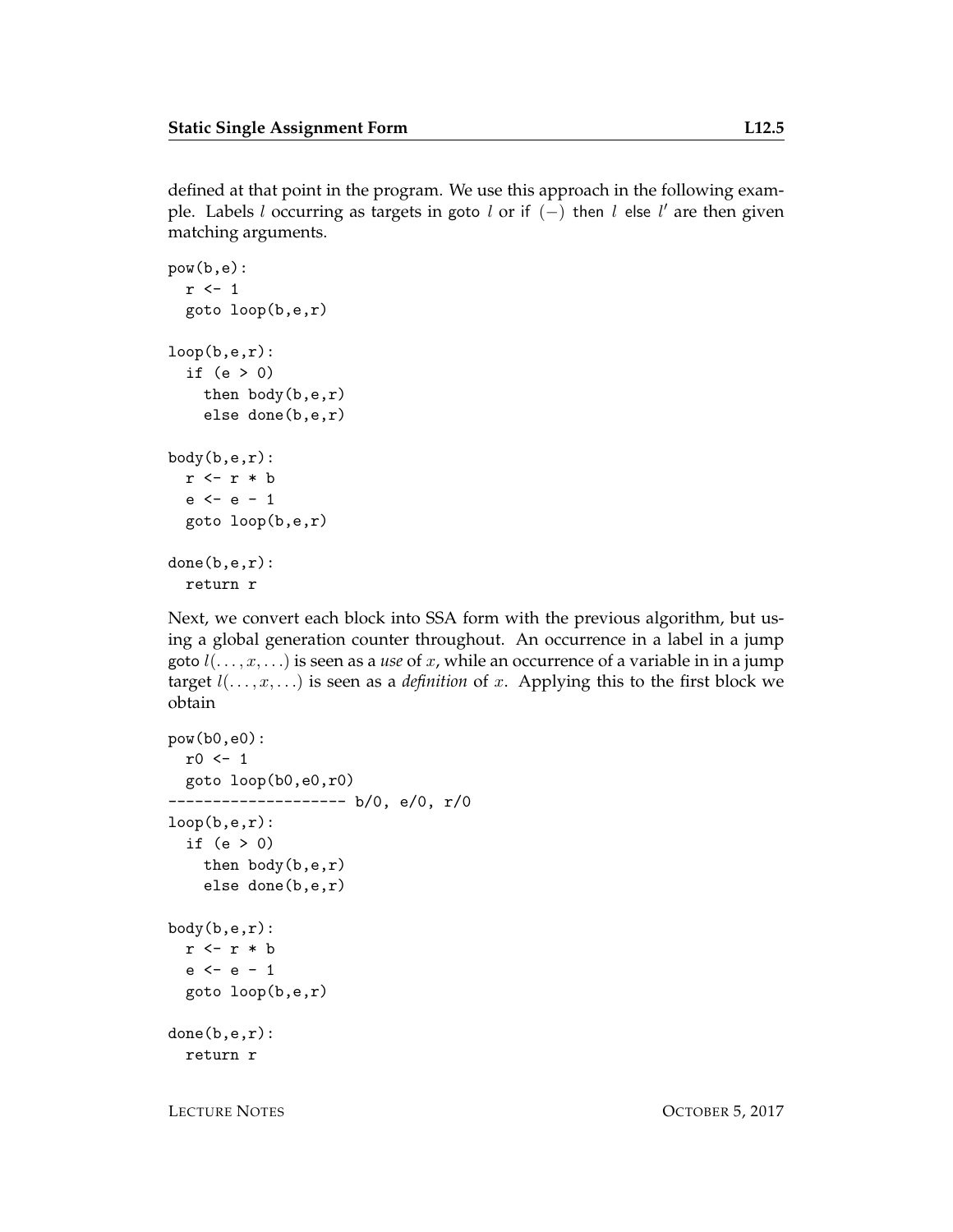defined at that point in the program. We use this approach in the following example. Labels l occurring as targets in goto l or if  $(-)$  then l else l' are then given matching arguments.

```
pow(b,e):
  r \leftarrow 1goto loop(b,e,r)
loop(b,e,r):
  if (e > 0)then body(b,e,r)
    else done(b,e,r)
body(b,e,r):
  r \leftarrow r * be \le -e - 1goto loop(b,e,r)
done(b,e,r):
  return r
```
Next, we convert each block into SSA form with the previous algorithm, but using a global generation counter throughout. An occurrence in a label in a jump goto l(. . . , x, . . .) is seen as a *use* of x, while an occurrence of a variable in in a jump target  $l(\ldots, x, \ldots)$  is seen as a *definition* of x. Applying this to the first block we obtain

```
pow(b0,e0):
 r0 \leftarrow 1goto loop(b0,e0,r0)
-------------------- b/0, e/0, r/0
loop(b,e,r):if (e > 0)
    then body(b,e,r)
    else done(b,e,r)
body(b,e,r):
 r <- r * b
  e \le -e - 1goto loop(b,e,r)
done(b,e,r):
  return r
```
LECTURE NOTES OCTOBER 5, 2017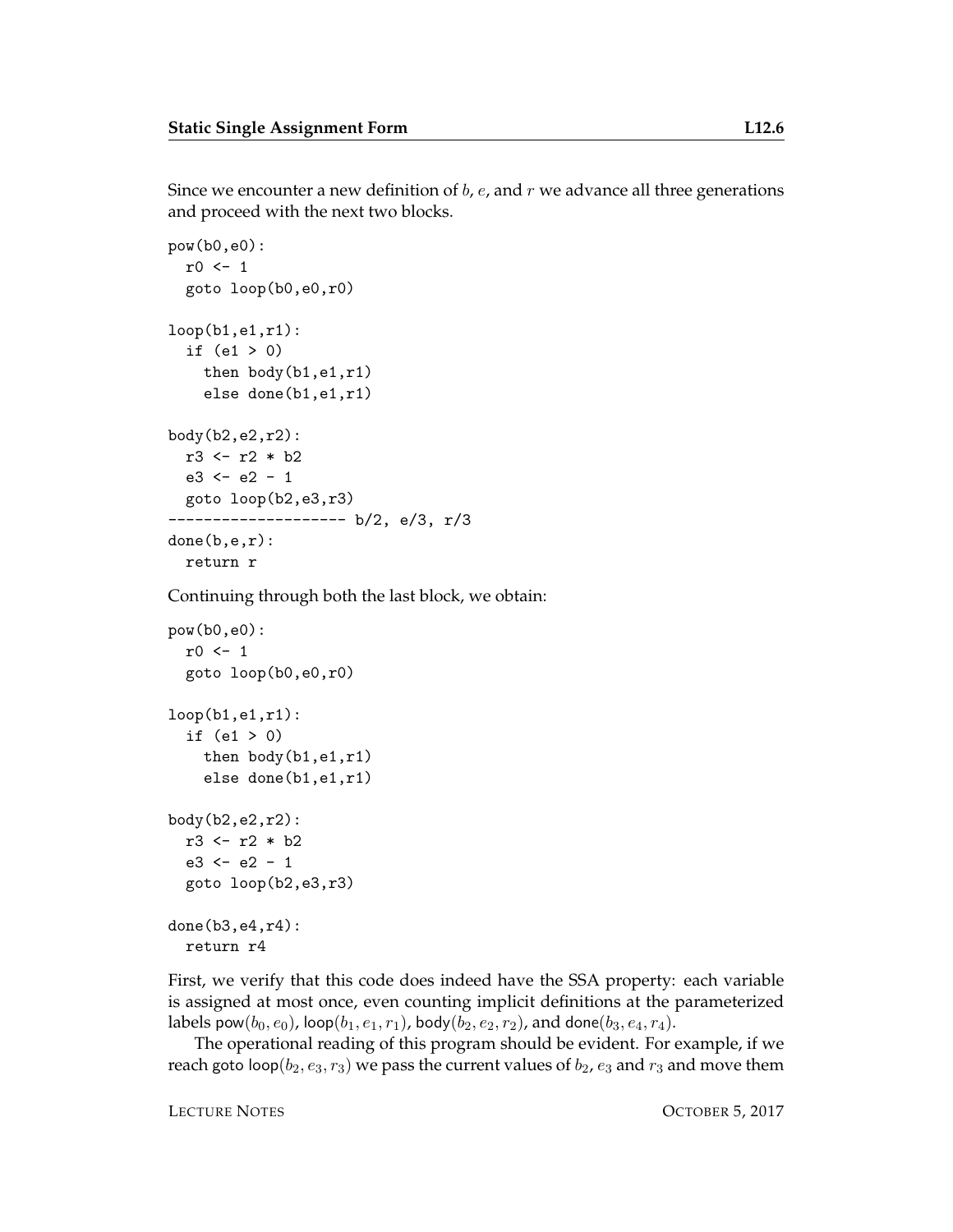Since we encounter a new definition of  $b$ ,  $e$ , and  $r$  we advance all three generations and proceed with the next two blocks.

```
pow(b0,e0):
 r0 \leftarrow 1goto loop(b0,e0,r0)
loop(b1,e1,r1):if (e1 > 0)
    then body(b1,e1,r1)
    else done(b1,e1,r1)
body(b2,e2,r2):
 r3 <- r2 * b2
  e3 \le -e2 - 1goto loop(b2,e3,r3)
-------------------- b/2, e/3, r/3
done(b,e,r):
  return r
```
Continuing through both the last block, we obtain:

```
pow(b0,e0):
 r0 \leftarrow 1goto loop(b0,e0,r0)
loop(b1,e1,r1):if (e1 > 0)
    then body(b1,e1,r1)
    else done(b1,e1,r1)
body(b2,e2,r2):
 r3 <- r2 * b2
  e3 \le -e2 - 1goto loop(b2,e3,r3)
done(b3,e4,r4):
  return r4
```
First, we verify that this code does indeed have the SSA property: each variable is assigned at most once, even counting implicit definitions at the parameterized labels pow $(b_0, e_0)$ , loop $(b_1, e_1, r_1)$ , body $(b_2, e_2, r_2)$ , and done $(b_3, e_4, r_4)$ .

The operational reading of this program should be evident. For example, if we reach goto loop( $b_2, e_3, r_3$ ) we pass the current values of  $b_2, e_3$  and  $r_3$  and move them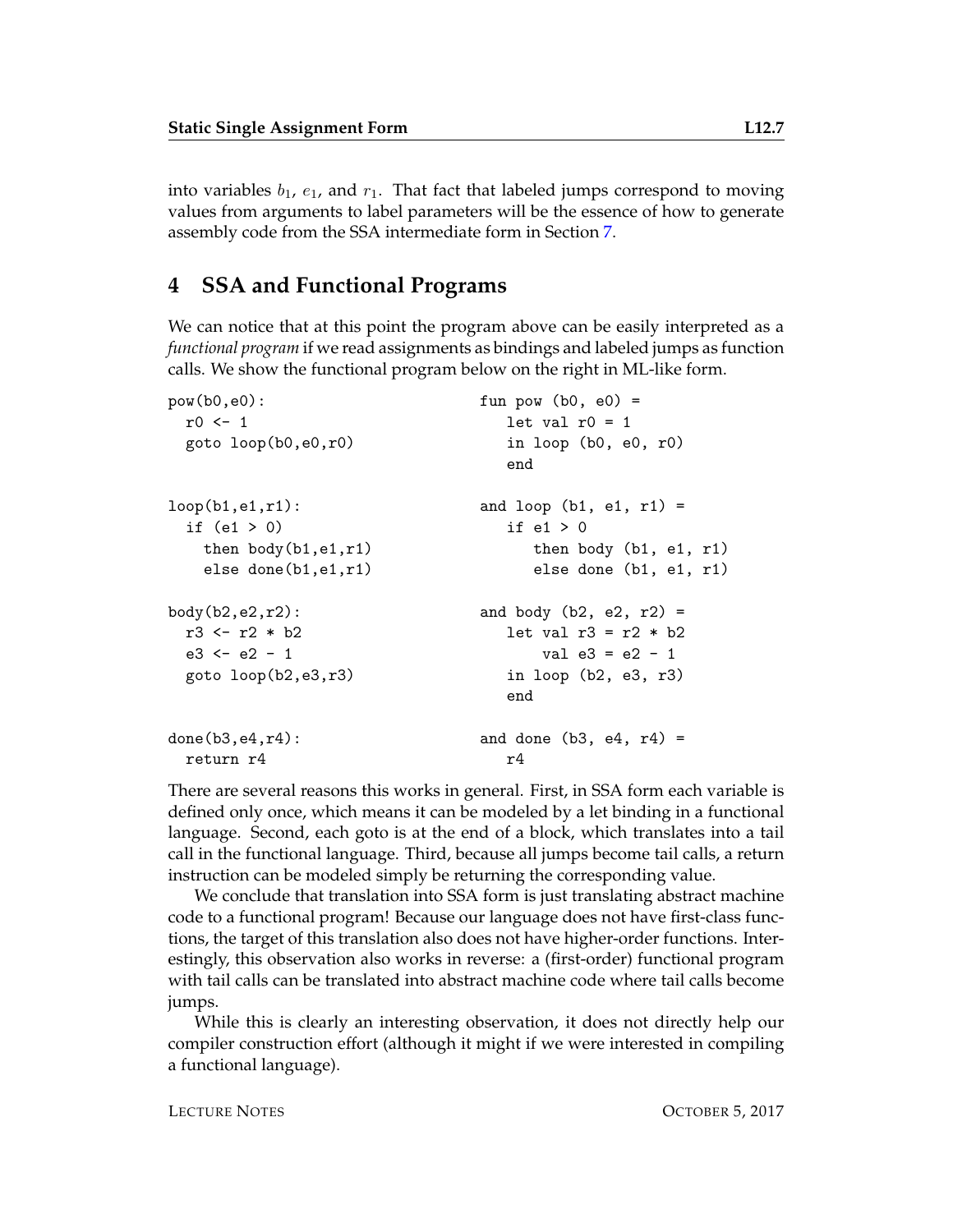into variables  $b_1$ ,  $e_1$ , and  $r_1$ . That fact that labeled jumps correspond to moving values from arguments to label parameters will be the essence of how to generate assembly code from the SSA intermediate form in Section [7.](#page-12-0)

## **4 SSA and Functional Programs**

We can notice that at this point the program above can be easily interpreted as a *functional program* if we read assignments as bindings and labeled jumps as function calls. We show the functional program below on the right in ML-like form.

```
pow(b0,e0): fun pow (b0, e0) =
 r0 \leq 1 let val r0 = 1goto loop(b0,e0,r0) in loop (b0, e0, r0)
                        end
loop(b1, e1, r1): and loop(b1, e1, r1) =if (e1 > 0) if e1 > 0then body(b1,e1,r1) then body (b1, e1, r1)
  else done(b1,e1,r1) else done (b1, e1, r1)
body(b2, e2, r2): and body (b2, e2, r2) =
 r3 \le r2 * b2 let val r3 = r2 * b2e3 \le -e2 - 1 val e3 = e2 - 1goto loop(b2,e3,r3) in loop (b2, e3, r3)
                        end
done(b3, e4, r4): and done (b3, e4, r4) =return r4 r4
```
There are several reasons this works in general. First, in SSA form each variable is defined only once, which means it can be modeled by a let binding in a functional language. Second, each goto is at the end of a block, which translates into a tail call in the functional language. Third, because all jumps become tail calls, a return instruction can be modeled simply be returning the corresponding value.

We conclude that translation into SSA form is just translating abstract machine code to a functional program! Because our language does not have first-class functions, the target of this translation also does not have higher-order functions. Interestingly, this observation also works in reverse: a (first-order) functional program with tail calls can be translated into abstract machine code where tail calls become jumps.

While this is clearly an interesting observation, it does not directly help our compiler construction effort (although it might if we were interested in compiling a functional language).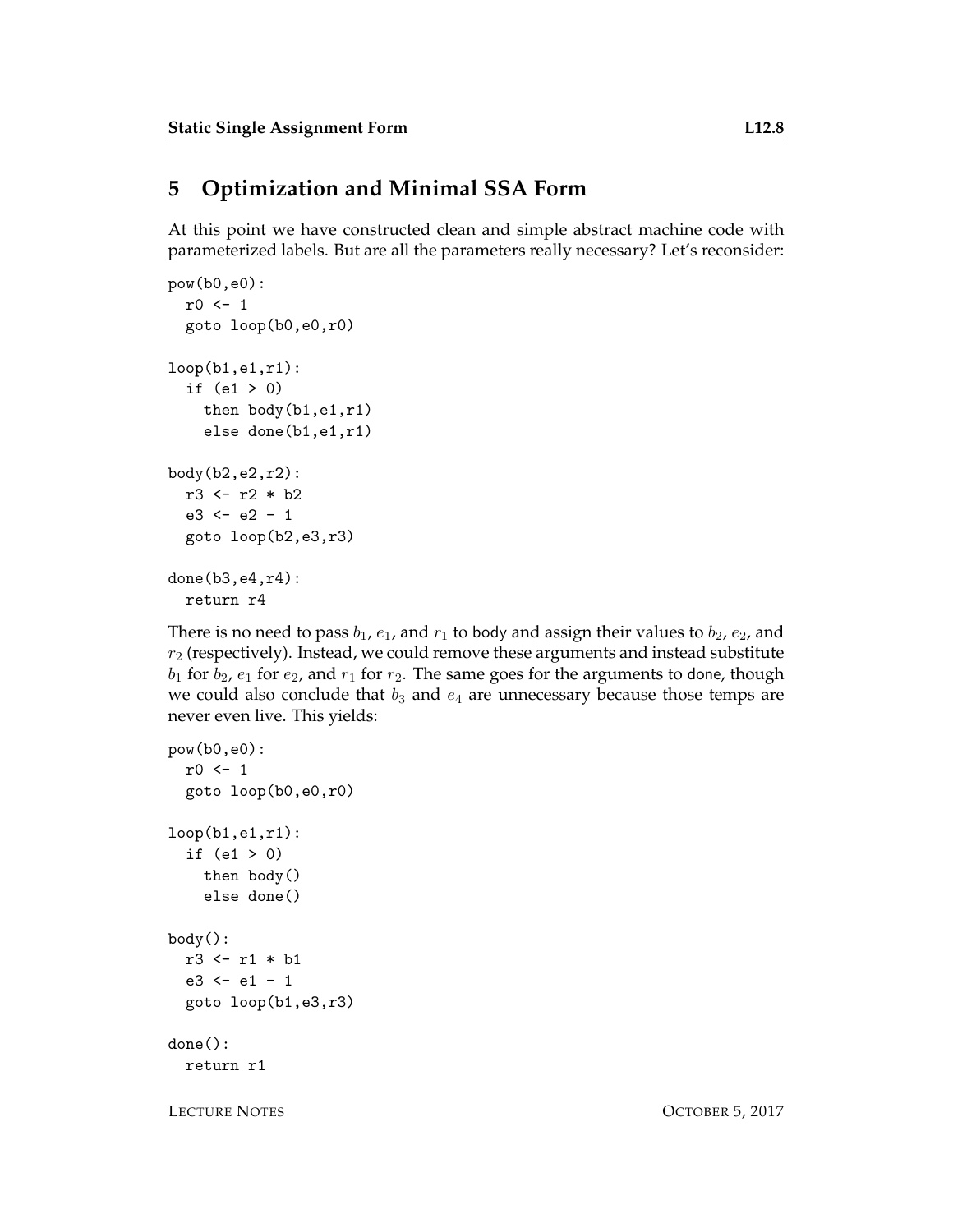# **5 Optimization and Minimal SSA Form**

At this point we have constructed clean and simple abstract machine code with parameterized labels. But are all the parameters really necessary? Let's reconsider:

```
pow(b0,e0):
 r0 \leftarrow 1goto loop(b0,e0,r0)
loop(b1,e1,r1):
  if (e1 > 0)then body(b1,e1,r1)
    else done(b1,e1,r1)
body(b2,e2,r2):
 r3 <- r2 * b2
  e3 \le -e2 - 1goto loop(b2,e3,r3)
done(b3,e4,r4):
  return r4
```
There is no need to pass  $b_1$ ,  $e_1$ , and  $r_1$  to body and assign their values to  $b_2$ ,  $e_2$ , and  $r_2$  (respectively). Instead, we could remove these arguments and instead substitute  $b_1$  for  $b_2$ ,  $e_1$  for  $e_2$ , and  $r_1$  for  $r_2$ . The same goes for the arguments to done, though we could also conclude that  $b_3$  and  $e_4$  are unnecessary because those temps are never even live. This yields:

```
pow(b0,e0):
  r0 \leftarrow 1goto loop(b0,e0,r0)
loop(b1,e1,r1):
  if (e1 > 0)
    then body()
    else done()
body():
  r3 <- r1 * b1
  e3 <- e1 - 1
  goto loop(b1,e3,r3)
done():
  return r1
```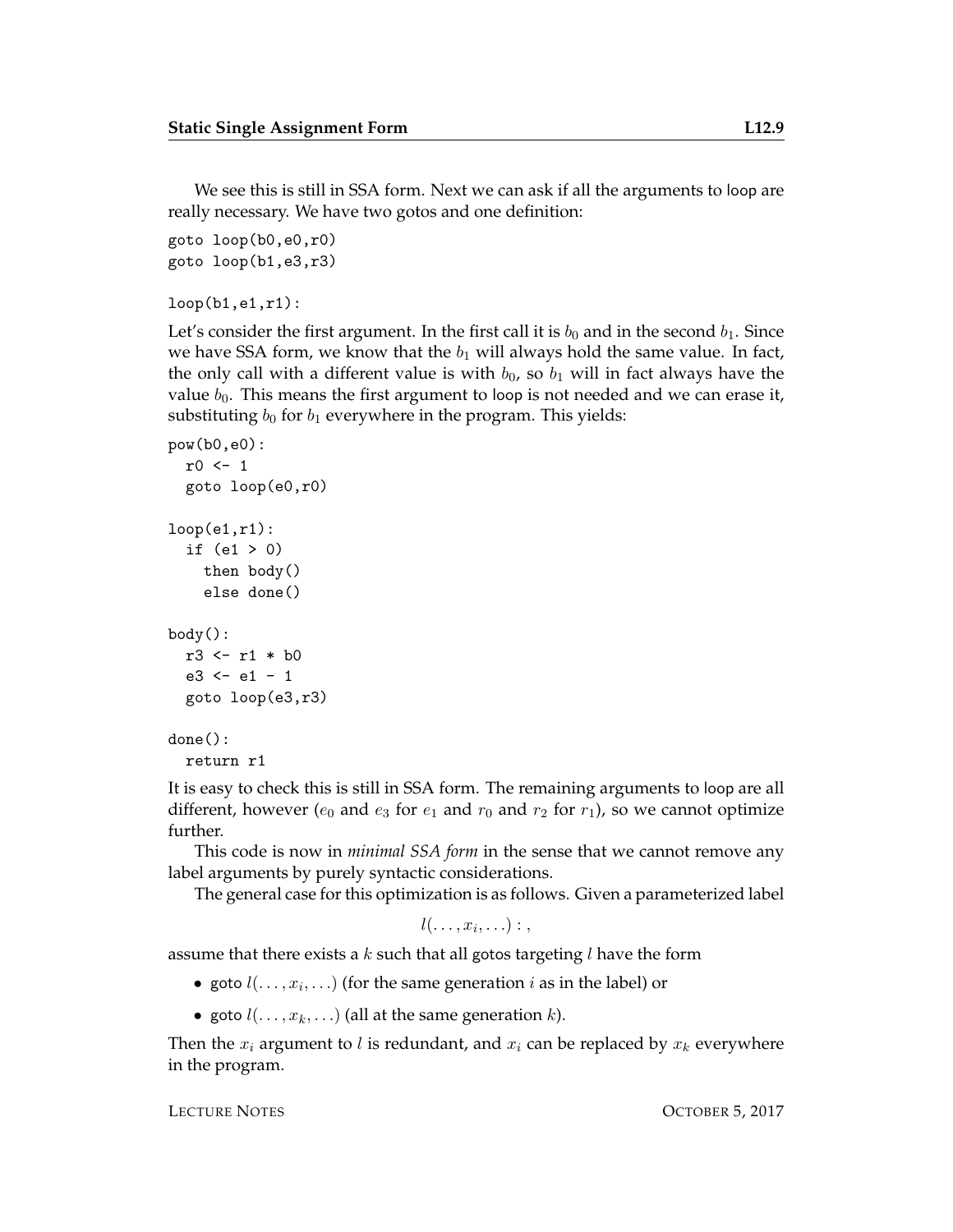We see this is still in SSA form. Next we can ask if all the arguments to loop are really necessary. We have two gotos and one definition:

```
goto loop(b0,e0,r0)
goto loop(b1,e3,r3)
```

```
loop(b1, e1, r1):
```
Let's consider the first argument. In the first call it is  $b_0$  and in the second  $b_1$ . Since we have SSA form, we know that the  $b_1$  will always hold the same value. In fact, the only call with a different value is with  $b_0$ , so  $b_1$  will in fact always have the value  $b_0$ . This means the first argument to loop is not needed and we can erase it, substituting  $b_0$  for  $b_1$  everywhere in the program. This yields:

```
pow(b0,e0):
  r0 \leftarrow 1goto loop(e0,r0)
loop(e1,r1):if (e1 > 0)then body()
    else done()
body():
  r3 <- r1 * b0
  e3 \le -e1 - 1goto loop(e3,r3)
done():
  return r1
```
It is easy to check this is still in SSA form. The remaining arguments to loop are all different, however ( $e_0$  and  $e_3$  for  $e_1$  and  $r_0$  and  $r_2$  for  $r_1$ ), so we cannot optimize further.

This code is now in *minimal SSA form* in the sense that we cannot remove any label arguments by purely syntactic considerations.

The general case for this optimization is as follows. Given a parameterized label

```
l(\ldots,x_i,\ldots):
```
assume that there exists a  $k$  such that all gotos targeting  $l$  have the form

- goto  $l(\ldots, x_i, \ldots)$  (for the same generation  $i$  as in the label) or
- goto  $l(\ldots, x_k, \ldots)$  (all at the same generation k).

Then the  $x_i$  argument to l is redundant, and  $x_i$  can be replaced by  $x_k$  everywhere in the program.

LECTURE NOTES OCTOBER 5, 2017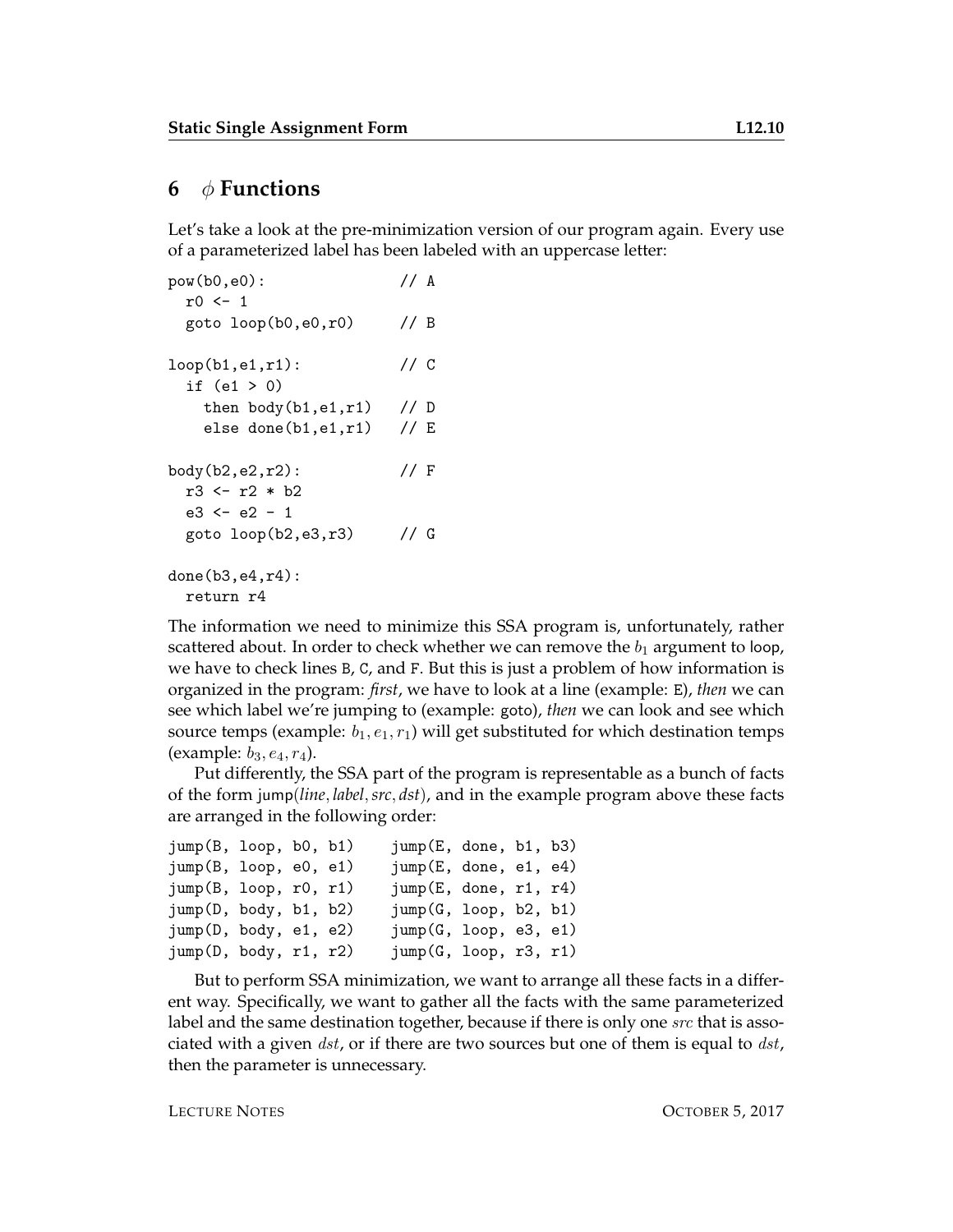#### **6** φ **Functions**

Let's take a look at the pre-minimization version of our program again. Every use of a parameterized label has been labeled with an uppercase letter:

```
pow(b0,e0): // A
 r0 \leftarrow 1goto loop(b0, e0, r0) // B
loop(b1, e1, r1): // C
 if (e1 > 0)then body(b1,e1,r1) // D
   else done(b1,e1,r1) // E
body(b2,e2,r2): // F
 r3 <- r2 * b2
 e3 \le -e2 - 1goto loop(b2,e3,r3) // G
done(b3,e4,r4):
```
return r4

The information we need to minimize this SSA program is, unfortunately, rather scattered about. In order to check whether we can remove the  $b_1$  argument to loop, we have to check lines B, C, and F. But this is just a problem of how information is organized in the program: *first*, we have to look at a line (example: E), *then* we can see which label we're jumping to (example: goto), *then* we can look and see which source temps (example:  $b_1, e_1, r_1$ ) will get substituted for which destination temps (example:  $b_3, e_4, r_4$ ).

Put differently, the SSA part of the program is representable as a bunch of facts of the form jump(*line*, *label*,*src*, *dst*), and in the example program above these facts are arranged in the following order:

```
jump(B, loop, b0, b1) jump(E, done, b1, b3)
jump(B, loop, e0, e1) jump(E, done, e1, e4)
jump(B, loop, r0, r1) jump(E, done, r1, r4)
jump(D, body, b1, b2) jump(G, loop, b2, b1)
jump(D, body, e1, e2) jump(G, loop, e3, e1)
jump(D, body, r1, r2) jump(G, loop, r3, r1)
```
But to perform SSA minimization, we want to arrange all these facts in a different way. Specifically, we want to gather all the facts with the same parameterized label and the same destination together, because if there is only one *src* that is associated with a given  $dst$ , or if there are two sources but one of them is equal to  $dst$ , then the parameter is unnecessary.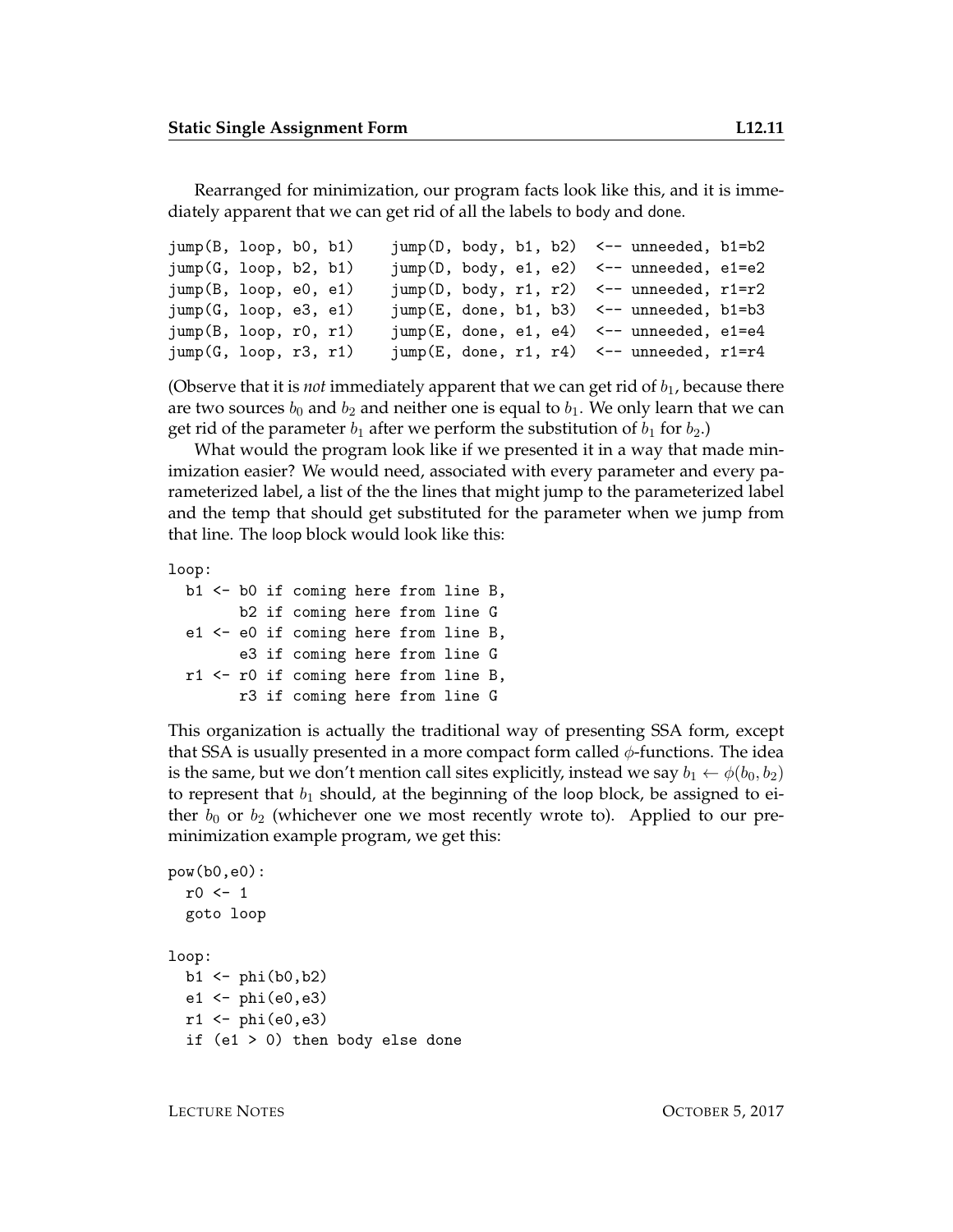Rearranged for minimization, our program facts look like this, and it is immediately apparent that we can get rid of all the labels to body and done.

```
jump(B, loop, b0, b1) jump(D, body, b1, b2) <-- unneeded, b1=b2
jump(G, loop, b2, b1) jump(D, body, e1, e2) <-- unneeded, e1=e2
jump(B, loop, e0, e1) jump(D, body, r1, r2) <-- unneeded, r1=r2
jump(G, loop, e3, e1) jump(E, done, b1, b3) <-- unneeded, b1=b3
jump(B, loop, r0, r1) jump(E, done, e1, e4) \leftarrow unneeded, e1=e4
jump(G, loop, r3, r1) jump(E, done, r1, r4) <-- unneeded, r1=r4
```
(Observe that it is *not* immediately apparent that we can get rid of  $b_1$ , because there are two sources  $b_0$  and  $b_2$  and neither one is equal to  $b_1$ . We only learn that we can get rid of the parameter  $b_1$  after we perform the substitution of  $b_1$  for  $b_2$ .)

What would the program look like if we presented it in a way that made minimization easier? We would need, associated with every parameter and every parameterized label, a list of the the lines that might jump to the parameterized label and the temp that should get substituted for the parameter when we jump from that line. The loop block would look like this:

loop:

```
b1 <- b0 if coming here from line B,
      b2 if coming here from line G
e1 <- e0 if coming here from line B,
      e3 if coming here from line G
r1 <- r0 if coming here from line B,
      r3 if coming here from line G
```
This organization is actually the traditional way of presenting SSA form, except that SSA is usually presented in a more compact form called  $\phi$ -functions. The idea is the same, but we don't mention call sites explicitly, instead we say  $b_1 \leftarrow \phi(b_0, b_2)$ to represent that  $b_1$  should, at the beginning of the loop block, be assigned to either  $b_0$  or  $b_2$  (whichever one we most recently wrote to). Applied to our preminimization example program, we get this:

```
pow(b0,e0):
  r0 \leftarrow 1goto loop
loop:
  b1 <- phi(b0, b2)e1 \leftarrow \text{phi}(e0, e3)r1 \leftarrow \text{phi}(e0, e3)if (e1 > 0) then body else done
```
LECTURE NOTES OCTOBER 5, 2017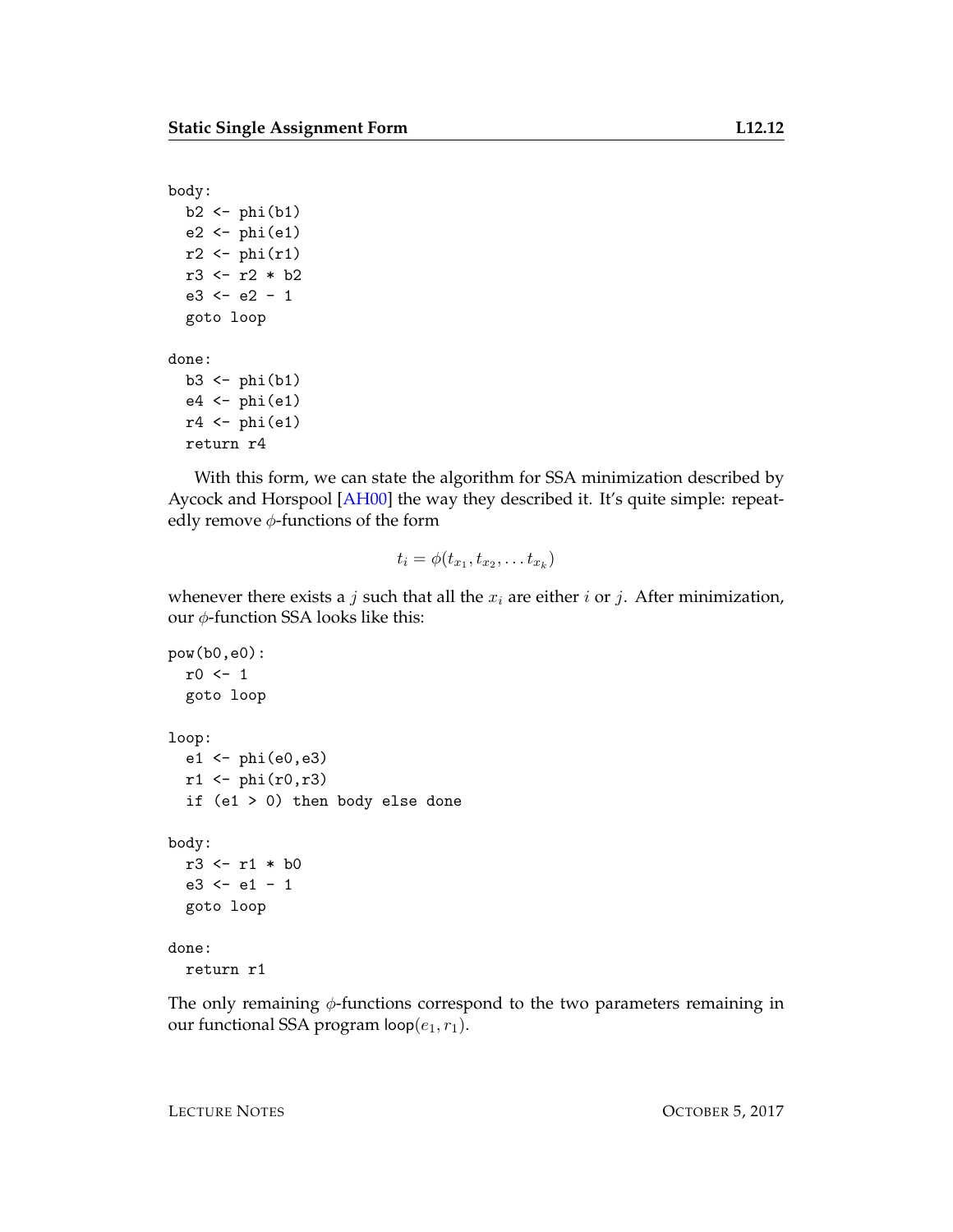```
body:
  b2 \leftarrow phi(b1)e2 \leftarrow \phihi(e1)r2 \leftarrow \phi<sub>phi</sub>(r1)r3 <- r2 * b2
  e3 \le -e2 - 1goto loop
done:
  b3 \leftarrow phi(b1)e4 \leftarrow phi(e1)r4 \leftarrow \phiphi(e1)return r4
```
With this form, we can state the algorithm for SSA minimization described by Aycock and Horspool [\[AH00\]](#page-14-0) the way they described it. It's quite simple: repeatedly remove  $\phi$ -functions of the form

$$
t_i = \phi(t_{x_1}, t_{x_2}, \dots t_{x_k})
$$

whenever there exists a *j* such that all the  $x_i$  are either *i* or *j*. After minimization, our  $φ$ -function SSA looks like this:

```
pow(b0,e0):
  r0 <- 1
  goto loop
loop:
  e1 \leftarrow phi(e0,e3)
  r1 \leftarrow \phihi(r0, r3)if (e1 > 0) then body else done
body:
  r3 <- r1 * b0
  e3 \le -e1 - 1goto loop
done:
  return r1
```
The only remaining  $\phi$ -functions correspond to the two parameters remaining in our functional SSA program  $loop(e_1, r_1)$ .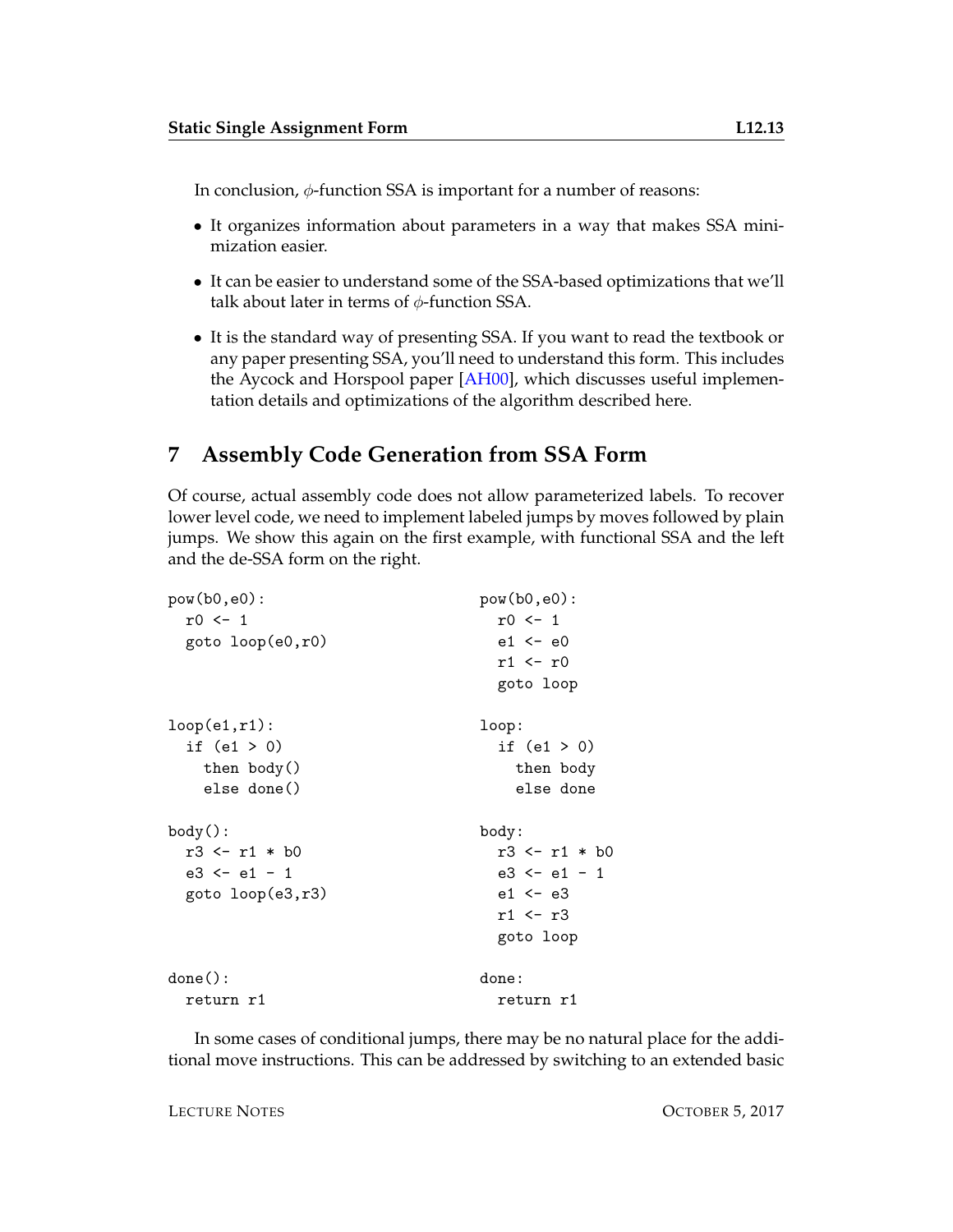In conclusion,  $\phi$ -function SSA is important for a number of reasons:

- It organizes information about parameters in a way that makes SSA minimization easier.
- It can be easier to understand some of the SSA-based optimizations that we'll talk about later in terms of  $\phi$ -function SSA.
- It is the standard way of presenting SSA. If you want to read the textbook or any paper presenting SSA, you'll need to understand this form. This includes the Aycock and Horspool paper [\[AH00\]](#page-14-0), which discusses useful implementation details and optimizations of the algorithm described here.

## <span id="page-12-0"></span>**7 Assembly Code Generation from SSA Form**

Of course, actual assembly code does not allow parameterized labels. To recover lower level code, we need to implement labeled jumps by moves followed by plain jumps. We show this again on the first example, with functional SSA and the left and the de-SSA form on the right.

```
pow(b0,e0): pow(b0,e0):
 r0 \leq 1 r0 \leq 1goto loop(e0,r0) e1 <- e0
                    r1 \leftarrow r0goto loop
loop(e1,r1): loop:
 if (e1 > 0) if (e1 > 0)then body() then body
  else done() else done
body(): body:
 r3 <- r1 * b0 r3 <- r1 * b0
 e3 <- e1 - 1 e3 <- e1 - 1
 goto loop(e3,r3) e1 <- e3
                    r1 <- r3
                    goto loop
done(): done: done:
 return r1 return r1
```
In some cases of conditional jumps, there may be no natural place for the additional move instructions. This can be addressed by switching to an extended basic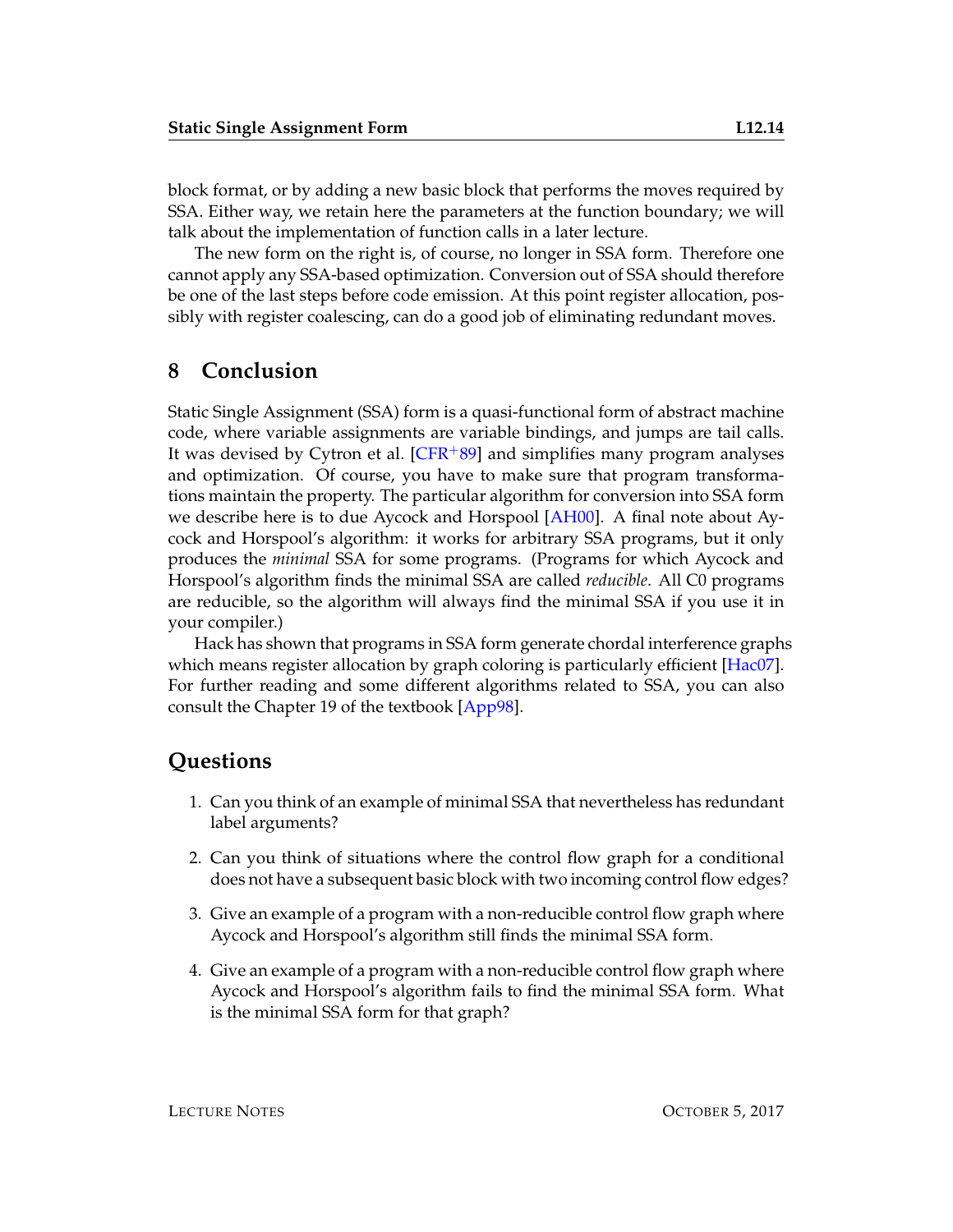block format, or by adding a new basic block that performs the moves required by SSA. Either way, we retain here the parameters at the function boundary; we will talk about the implementation of function calls in a later lecture.

The new form on the right is, of course, no longer in SSA form. Therefore one cannot apply any SSA-based optimization. Conversion out of SSA should therefore be one of the last steps before code emission. At this point register allocation, possibly with register coalescing, can do a good job of eliminating redundant moves.

#### **8 Conclusion**

Static Single Assignment (SSA) form is a quasi-functional form of abstract machine code, where variable assignments are variable bindings, and jumps are tail calls. It was devised by Cytron et al.  $[CFR+89]$  $[CFR+89]$  and simplifies many program analyses and optimization. Of course, you have to make sure that program transformations maintain the property. The particular algorithm for conversion into SSA form we describe here is to due Aycock and Horspool  $[AH00]$ . A final note about Aycock and Horspool's algorithm: it works for arbitrary SSA programs, but it only produces the *minimal* SSA for some programs. (Programs for which Aycock and Horspool's algorithm finds the minimal SSA are called *reducible*. All C0 programs are reducible, so the algorithm will always find the minimal SSA if you use it in your compiler.)

Hack has shown that programs in SSA form generate chordal interference graphs which means register allocation by graph coloring is particularly efficient [\[Hac07\]](#page-14-2). For further reading and some different algorithms related to SSA, you can also consult the Chapter 19 of the textbook [\[App98\]](#page-14-3).

#### **Questions**

- 1. Can you think of an example of minimal SSA that nevertheless has redundant label arguments?
- 2. Can you think of situations where the control flow graph for a conditional does not have a subsequent basic block with two incoming control flow edges?
- 3. Give an example of a program with a non-reducible control flow graph where Aycock and Horspool's algorithm still finds the minimal SSA form.
- 4. Give an example of a program with a non-reducible control flow graph where Aycock and Horspool's algorithm fails to find the minimal SSA form. What is the minimal SSA form for that graph?